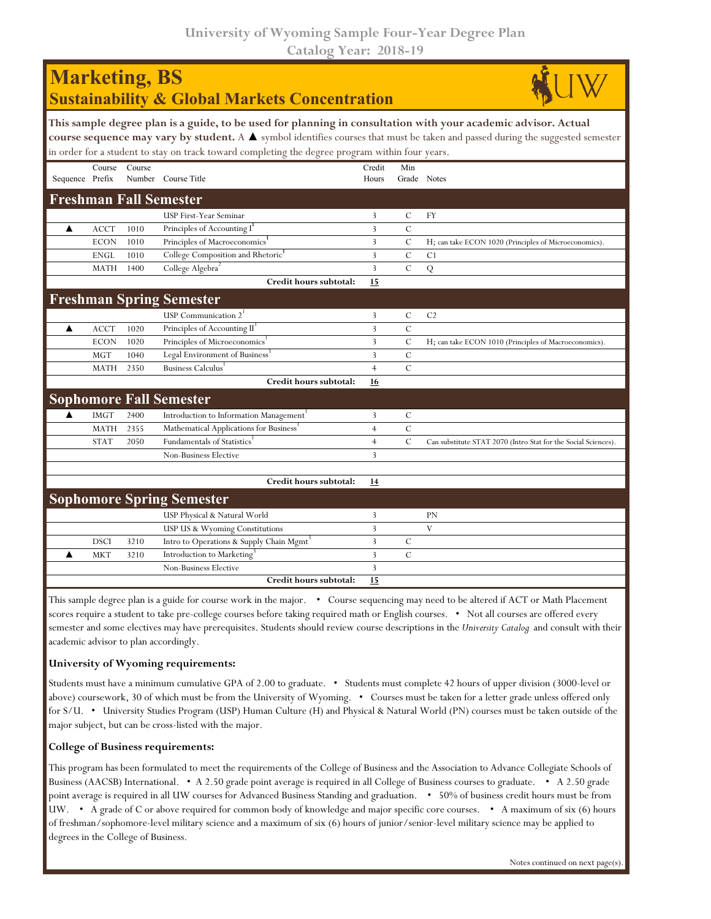| <b>Marketing, BS</b><br><b>Sustainability &amp; Global Markets Concentration</b>                                                                                                                                                                                                                                                                                   |             |        |                                                      |                 |               |                                                                |  |  |  |  |  |
|--------------------------------------------------------------------------------------------------------------------------------------------------------------------------------------------------------------------------------------------------------------------------------------------------------------------------------------------------------------------|-------------|--------|------------------------------------------------------|-----------------|---------------|----------------------------------------------------------------|--|--|--|--|--|
| This sample degree plan is a guide, to be used for planning in consultation with your academic advisor. Actual<br>course sequence may vary by student. A $\blacktriangle$ symbol identifies courses that must be taken and passed during the suggested semester<br>in order for a student to stay on track toward completing the degree program within four years. |             |        |                                                      |                 |               |                                                                |  |  |  |  |  |
| Sequence Prefix                                                                                                                                                                                                                                                                                                                                                    | Course      | Course | Number Course Title                                  | Credit<br>Hours | Min           | Grade Notes                                                    |  |  |  |  |  |
|                                                                                                                                                                                                                                                                                                                                                                    |             |        | <b>Freshman Fall Semester</b>                        |                 |               |                                                                |  |  |  |  |  |
|                                                                                                                                                                                                                                                                                                                                                                    |             |        | USP First-Year Seminar                               | 3               | $\mathcal{C}$ | <b>FY</b>                                                      |  |  |  |  |  |
| ▲                                                                                                                                                                                                                                                                                                                                                                  | <b>ACCT</b> | 1010   | Principles of Accounting I                           | 3               | $\mathcal{C}$ |                                                                |  |  |  |  |  |
|                                                                                                                                                                                                                                                                                                                                                                    | <b>ECON</b> | 1010   | Principles of Macroeconomics <sup>1</sup>            | 3               | $\mathsf{C}$  | H; can take ECON 1020 (Principles of Microeconomics).          |  |  |  |  |  |
|                                                                                                                                                                                                                                                                                                                                                                    | <b>ENGL</b> | 1010   | College Composition and Rhetoric                     | 3               | $\mathcal{C}$ | C1                                                             |  |  |  |  |  |
|                                                                                                                                                                                                                                                                                                                                                                    | <b>MATH</b> | 1400   | College Algebra <sup>2</sup>                         | 3               | $\mathcal{C}$ | $\overline{Q}$                                                 |  |  |  |  |  |
|                                                                                                                                                                                                                                                                                                                                                                    |             |        | Credit hours subtotal:                               | 15              |               |                                                                |  |  |  |  |  |
|                                                                                                                                                                                                                                                                                                                                                                    |             |        | <b>Freshman Spring Semester</b>                      |                 |               |                                                                |  |  |  |  |  |
|                                                                                                                                                                                                                                                                                                                                                                    |             |        | USP Communication $21$                               | 3               | $\mathcal{C}$ | C <sub>2</sub>                                                 |  |  |  |  |  |
| ▲                                                                                                                                                                                                                                                                                                                                                                  | <b>ACCT</b> | 1020   | Principles of Accounting II <sup>1</sup>             | 3               | $\mathcal{C}$ |                                                                |  |  |  |  |  |
|                                                                                                                                                                                                                                                                                                                                                                    | <b>ECON</b> | 1020   | Principles of Microeconomics <sup>1</sup>            | 3               | $\mathcal{C}$ | H; can take ECON 1010 (Principles of Macroeconomics).          |  |  |  |  |  |
|                                                                                                                                                                                                                                                                                                                                                                    | <b>MGT</b>  | 1040   | Legal Environment of Business <sup>3</sup>           | 3               | $\mathcal{C}$ |                                                                |  |  |  |  |  |
|                                                                                                                                                                                                                                                                                                                                                                    | <b>MATH</b> | 2350   | Business Calculus                                    | $\overline{4}$  | $\mathcal{C}$ |                                                                |  |  |  |  |  |
|                                                                                                                                                                                                                                                                                                                                                                    |             |        | Credit hours subtotal:                               | 16              |               |                                                                |  |  |  |  |  |
|                                                                                                                                                                                                                                                                                                                                                                    |             |        | <b>Sophomore Fall Semester</b>                       |                 |               |                                                                |  |  |  |  |  |
|                                                                                                                                                                                                                                                                                                                                                                    | <b>IMGT</b> | 2400   | Introduction to Information Management <sup>1</sup>  | 3               | $\mathsf{C}$  |                                                                |  |  |  |  |  |
|                                                                                                                                                                                                                                                                                                                                                                    | <b>MATH</b> | 2355   | Mathematical Applications for Business'              | $\overline{4}$  | $\mathcal{C}$ |                                                                |  |  |  |  |  |
|                                                                                                                                                                                                                                                                                                                                                                    | <b>STAT</b> | 2050   | Fundamentals of Statistics <sup>1</sup>              | $\overline{4}$  | $\mathcal{C}$ | Can substitute STAT 2070 (Intro Stat for the Social Sciences). |  |  |  |  |  |
|                                                                                                                                                                                                                                                                                                                                                                    |             |        | Non-Business Elective                                | 3               |               |                                                                |  |  |  |  |  |
|                                                                                                                                                                                                                                                                                                                                                                    |             |        |                                                      |                 |               |                                                                |  |  |  |  |  |
|                                                                                                                                                                                                                                                                                                                                                                    |             |        | Credit hours subtotal:                               | 14              |               |                                                                |  |  |  |  |  |
|                                                                                                                                                                                                                                                                                                                                                                    |             |        | <b>Sophomore Spring Semester</b>                     |                 |               |                                                                |  |  |  |  |  |
|                                                                                                                                                                                                                                                                                                                                                                    |             |        | USP Physical & Natural World                         | 3               |               | <b>PN</b>                                                      |  |  |  |  |  |
|                                                                                                                                                                                                                                                                                                                                                                    |             |        | USP US & Wyoming Constitutions                       | 3               |               | V                                                              |  |  |  |  |  |
|                                                                                                                                                                                                                                                                                                                                                                    | <b>DSCI</b> | 3210   | Intro to Operations & Supply Chain Mgmt <sup>3</sup> | 3               | C             |                                                                |  |  |  |  |  |
|                                                                                                                                                                                                                                                                                                                                                                    | <b>MKT</b>  | 3210   | Introduction to Marketing <sup>®</sup>               | 3               | $\mathsf{C}$  |                                                                |  |  |  |  |  |
|                                                                                                                                                                                                                                                                                                                                                                    |             |        | Non-Business Elective                                | 3               |               |                                                                |  |  |  |  |  |
|                                                                                                                                                                                                                                                                                                                                                                    |             |        | Credit hours subtotal:                               | 15              |               |                                                                |  |  |  |  |  |

This sample degree plan is a guide for course work in the major. • Course sequencing may need to be altered if ACT or Math Placement scores require a student to take pre-college courses before taking required math or English courses. • Not all courses are offered every semester and some electives may have prerequisites. Students should review course descriptions in the *University Catalog* and consult with their academic advisor to plan accordingly.

## **University of Wyoming requirements:**

Students must have a minimum cumulative GPA of 2.00 to graduate. • Students must complete 42 hours of upper division (3000-level or above) coursework, 30 of which must be from the University of Wyoming. • Courses must be taken for a letter grade unless offered only for S/U. • University Studies Program (USP) Human Culture (H) and Physical & Natural World (PN) courses must be taken outside of the major subject, but can be cross-listed with the major.

## **College of Business requirements:**

This program has been formulated to meet the requirements of the College of Business and the Association to Advance Collegiate Schools of Business (AACSB) International. • A 2.50 grade point average is required in all College of Business courses to graduate. • A 2.50 grade point average is required in all UW courses for Advanced Business Standing and graduation. • 50% of business credit hours must be from UW. • A grade of C or above required for common body of knowledge and major specific core courses. • A maximum of six (6) hours of freshman/sophomore-level military science and a maximum of six (6) hours of junior/senior-level military science may be applied to degrees in the College of Business.